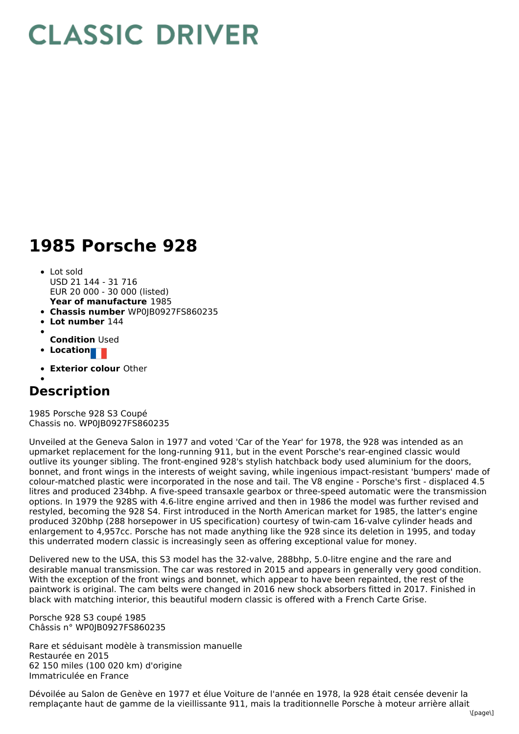## **CLASSIC DRIVER**

## **1985 Porsche 928**

- **Year of manufacture** 1985 • Lot sold USD 21 144 - 31 716 EUR 20 000 - 30 000 (listed)
- **Chassis number** WP0JB0927FS860235
- **Lot number** 144
- 
- **Condition** Used
- **Location**
- **Exterior colour** Other

## **Description**

1985 Porsche 928 S3 Coupé Chassis no. WP0JB0927FS860235

Unveiled at the Geneva Salon in 1977 and voted 'Car of the Year' for 1978, the 928 was intended as an upmarket replacement for the long-running 911, but in the event Porsche's rear-engined classic would outlive its younger sibling. The front-engined 928's stylish hatchback body used aluminium for the doors, bonnet, and front wings in the interests of weight saving, while ingenious impact-resistant 'bumpers' made of colour-matched plastic were incorporated in the nose and tail. The V8 engine - Porsche's first - displaced 4.5 litres and produced 234bhp. A five-speed transaxle gearbox or three-speed automatic were the transmission options. In 1979 the 928S with 4.6-litre engine arrived and then in 1986 the model was further revised and restyled, becoming the 928 S4. First introduced in the North American market for 1985, the latter's engine produced 320bhp (288 horsepower in US specification) courtesy of twin-cam 16-valve cylinder heads and enlargement to 4,957cc. Porsche has not made anything like the 928 since its deletion in 1995, and today this underrated modern classic is increasingly seen as offering exceptional value for money.

Delivered new to the USA, this S3 model has the 32-valve, 288bhp, 5.0-litre engine and the rare and desirable manual transmission. The car was restored in 2015 and appears in generally very good condition. With the exception of the front wings and bonnet, which appear to have been repainted, the rest of the paintwork is original. The cam belts were changed in 2016 new shock absorbers fitted in 2017. Finished in black with matching interior, this beautiful modern classic is offered with a French Carte Grise.

Porsche 928 S3 coupé 1985 Châssis n° WP0JB0927FS860235

Rare et séduisant modèle à transmission manuelle Restaurée en 2015 62 150 miles (100 020 km) d'origine Immatriculée en France

Dévoilée au Salon de Genève en 1977 et élue Voiture de l'année en 1978, la 928 était censée devenir la remplaçante haut de gamme de la vieillissante 911, mais la traditionnelle Porsche à moteur arrière allait